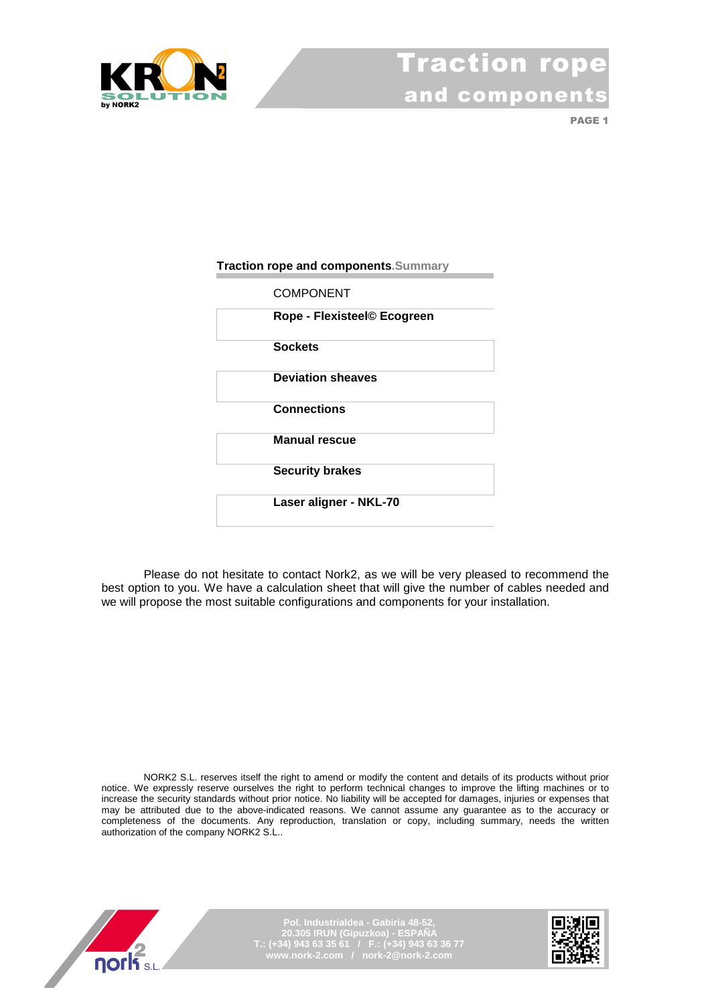

PAGE<sub>1</sub>

#### **Traction rope and components.Summary**

| <b>COMPONENT</b>            |  |
|-----------------------------|--|
| Rope - Flexisteel© Ecogreen |  |
| <b>Sockets</b>              |  |
| <b>Deviation sheaves</b>    |  |
| <b>Connections</b>          |  |
| <b>Manual rescue</b>        |  |
| <b>Security brakes</b>      |  |
| Laser aligner - NKL-70      |  |

Please do not hesitate to contact Nork2, as we will be very pleased to recommend the best option to you. We have a calculation sheet that will give the number of cables needed and we will propose the most suitable configurations and components for your installation.

NORK2 S.L. reserves itself the right to amend or modify the content and details of its products without prior notice. We expressly reserve ourselves the right to perform technical changes to improve the lifting machines or to increase the security standards without prior notice. No liability will be accepted for damages, injuries or expenses that may be attributed due to the above-indicated reasons. We cannot assume any guarantee as to the accuracy or completeness of the documents. Any reproduction, translation or copy, including summary, needs the written authorization of the company NORK2 S.L..



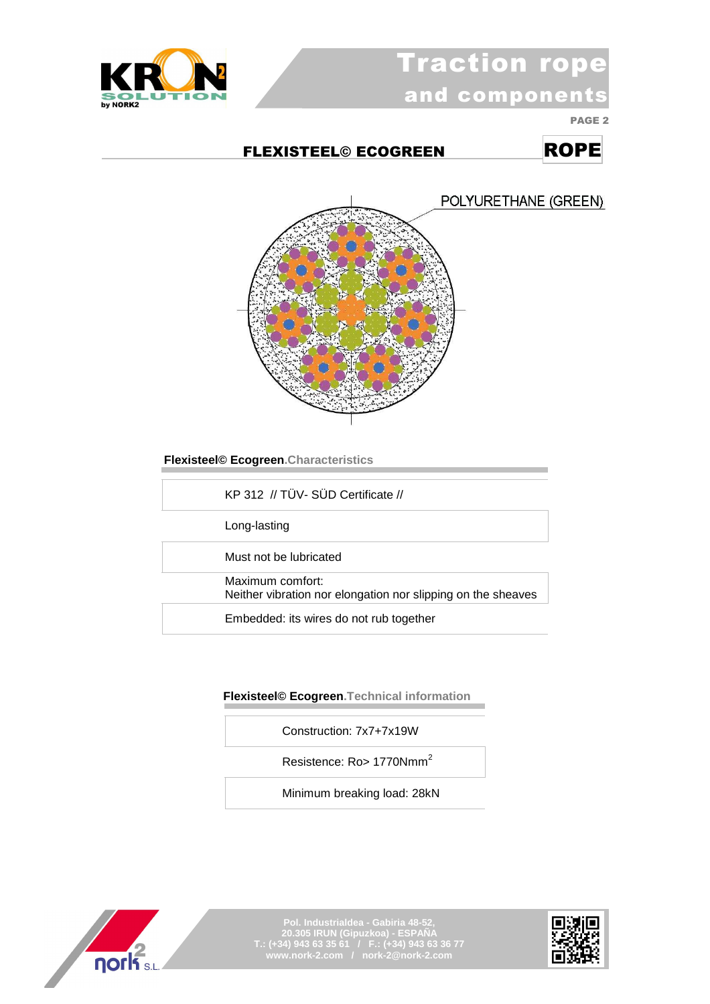

# Traction rope and components

PAGE 2

### FLEXISTEEL© ECOGREEN ROPE

POLYURETHANE (GREEN)



 **Flexisteel© Ecogreen.Characteristics** 

KP 312 // TÜV- SÜD Certificate //

Long-lasting

Must not be lubricated

Maximum comfort:

Neither vibration nor elongation nor slipping on the sheaves

Embedded: its wires do not rub together

#### **Flexisteel© Ecogreen.Technical information**

Construction: 7x7+7x19W

Resistence: Ro> 1770Nmm<sup>2</sup>

Minimum breaking load: 28kN



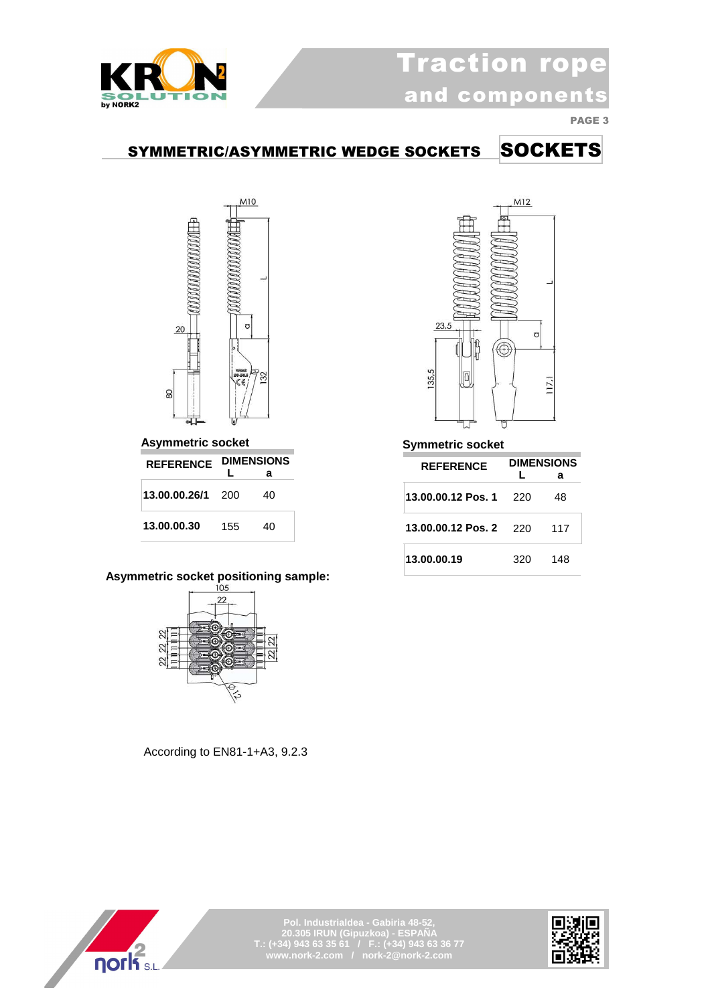

### SYMMETRIC/ASYMMETRIC WEDGE SOCKETS SOCKETS



 **Asymmetric socket** 

| <b>REFERENCE</b> | <b>DIMENSIONS</b> |    |
|------------------|-------------------|----|
|                  |                   | а  |
| 13.00.00.26/1    | -200              | 40 |
| 13.00.00.30      | 155               | 40 |

## **Asymmetric socket positioning sample:**



According to EN81-1+A3, 9.2.3



#### **Symmetric socket**

| <b>REFERENCE</b>   | L   | <b>DIMENSIONS</b><br>а |
|--------------------|-----|------------------------|
| 13.00.00.12 Pos. 1 | 220 | 48                     |
| 13.00.00.12 Pos. 2 | 220 | 117                    |
| 13.00.00.19        | 320 | 148                    |



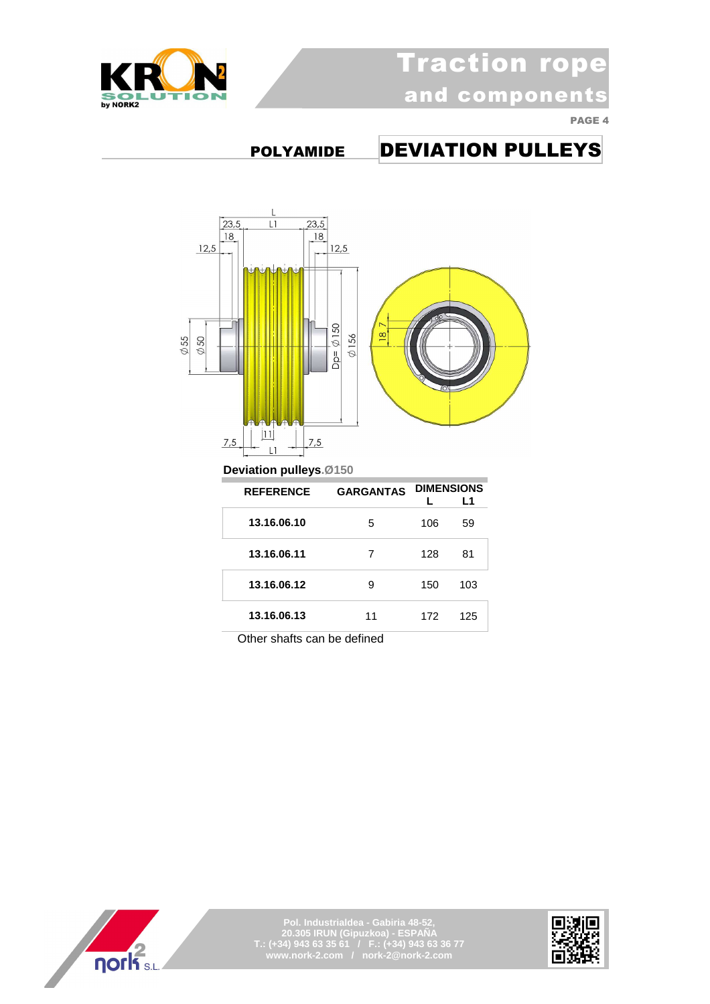

## POLYAMIDE DEVIATION PULLEYS



| <b>REFERENCE</b> | <b>GARGANTAS</b> | <b>DIMENSIONS</b> | l 1 |
|------------------|------------------|-------------------|-----|
| 13.16.06.10      | 5                | 106               | 59  |
| 13.16.06.11      | 7                | 128               | 81  |
| 13.16.06.12      | 9                | 150               | 103 |
| 13.16.06.13      | 11               | 172               | 125 |

Other shafts can be defined



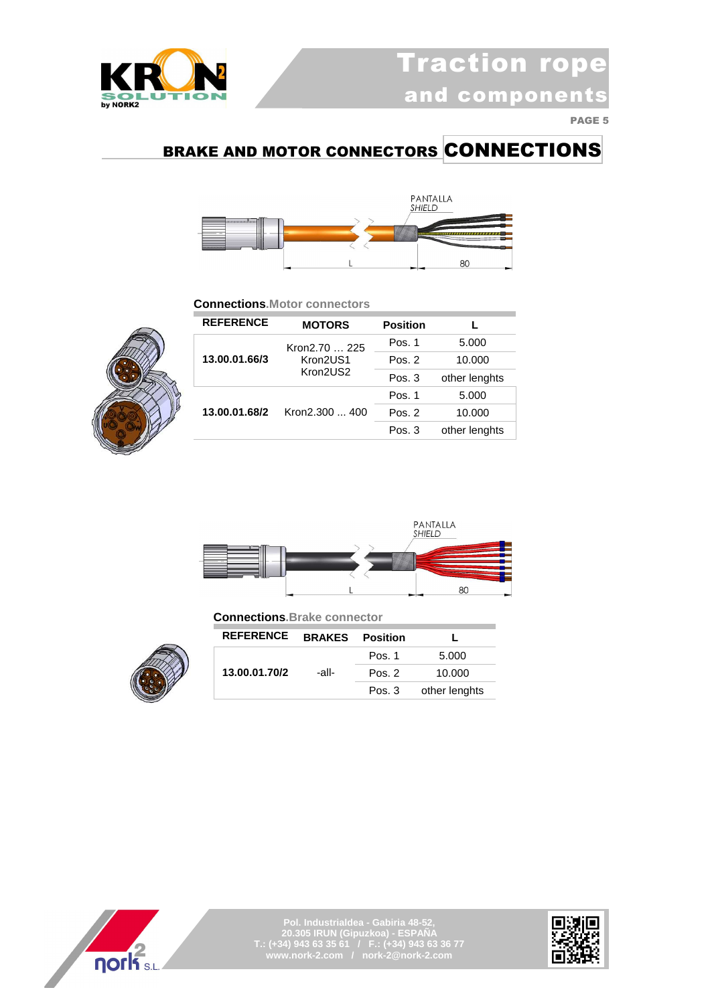

### BRAKE AND MOTOR CONNECTORS CONNECTIONS



#### **Connections.Motor connectors**



| <b>REFERENCE</b>                | <b>MOTORS</b>        | <b>Position</b> |               |
|---------------------------------|----------------------|-----------------|---------------|
|                                 | Kron2.70  225        | Pos. 1          | 5.000         |
| 13.00.01.66/3                   | Kron2US1<br>Kron2US2 | Pos. 2          | 10.000        |
|                                 |                      | Pos. 3          | other lenghts |
|                                 |                      | Pos. 1          | 5.000         |
| 13.00.01.68/2<br>Kron2.300  400 | Pos. 2               | 10.000          |               |
|                                 |                      | Pos. 3          | other lenghts |



 **Connections.Brake connector**



| <b>REFERENCE</b> | <b>BRAKES</b> Position |        |               |
|------------------|------------------------|--------|---------------|
|                  |                        | Pos. 1 | 5.000         |
| 13.00.01.70/2    | -all-                  | Pos. 2 | 10.000        |
|                  |                        | Pos. 3 | other lenghts |



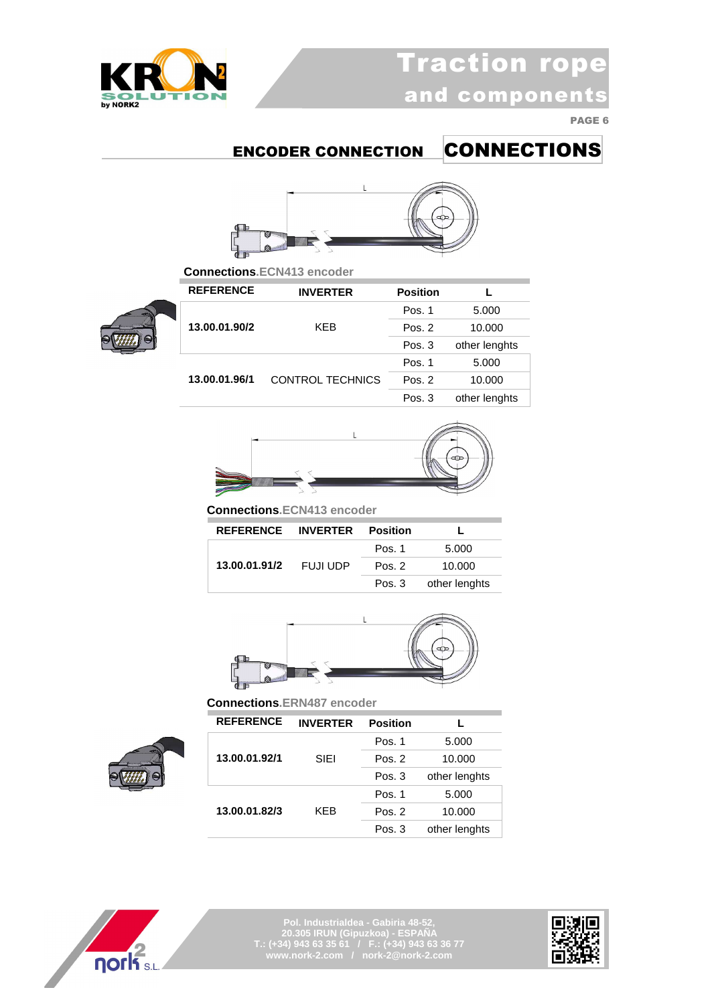

## ENCODER CONNECTION CONNECTIONS



 **Connections.ECN413 encoder**



| <b>REFERENCE</b> | <b>INVERTER</b>  | <b>Position</b> |               |
|------------------|------------------|-----------------|---------------|
|                  |                  | Pos. 1          | 5.000         |
| 13.00.01.90/2    | <b>KFB</b>       | Pos. 2          | 10.000        |
|                  |                  | Pos. 3          | other lenghts |
|                  |                  | Pos. 1          | 5.000         |
| 13.00.01.96/1    | CONTROL TECHNICS | Pos. 2          | 10.000        |
|                  |                  | Pos. 3          | other lenghts |



 **Connections.ECN413 encoder**

| REFERENCE INVERTER Position |          |        |               |
|-----------------------------|----------|--------|---------------|
|                             |          | Pos. 1 | 5.000         |
| 13.00.01.91/2               | FUJI UDP | Pos. 2 | 10.000        |
|                             |          | Pos. 3 | other lenghts |



 **Connections.ERN487 encoder**





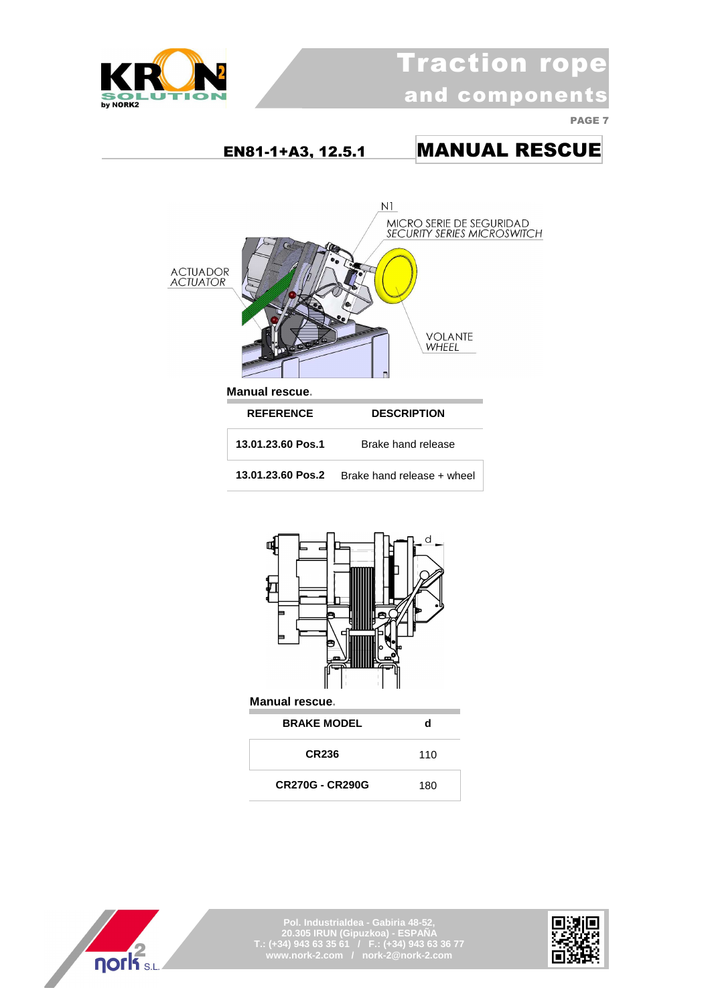

 EN81-1+A3, 12.5.1 MANUAL RESCUE  $N1$ MICRO SERIE DE SEGURIDAD<br>SECURITY SERIES MICROSWITCH ACTUADOR<br>ACTUATOR **VOLANTE WHEEL Manual rescue. REFERENCE DESCRIPTION 13.01.23.60 Pos.1** Brake hand release **13.01.23.60 Pos.2** Brake hand release + wheel



| CR236                  | 110 |
|------------------------|-----|
| <b>CR270G - CR290G</b> | 180 |



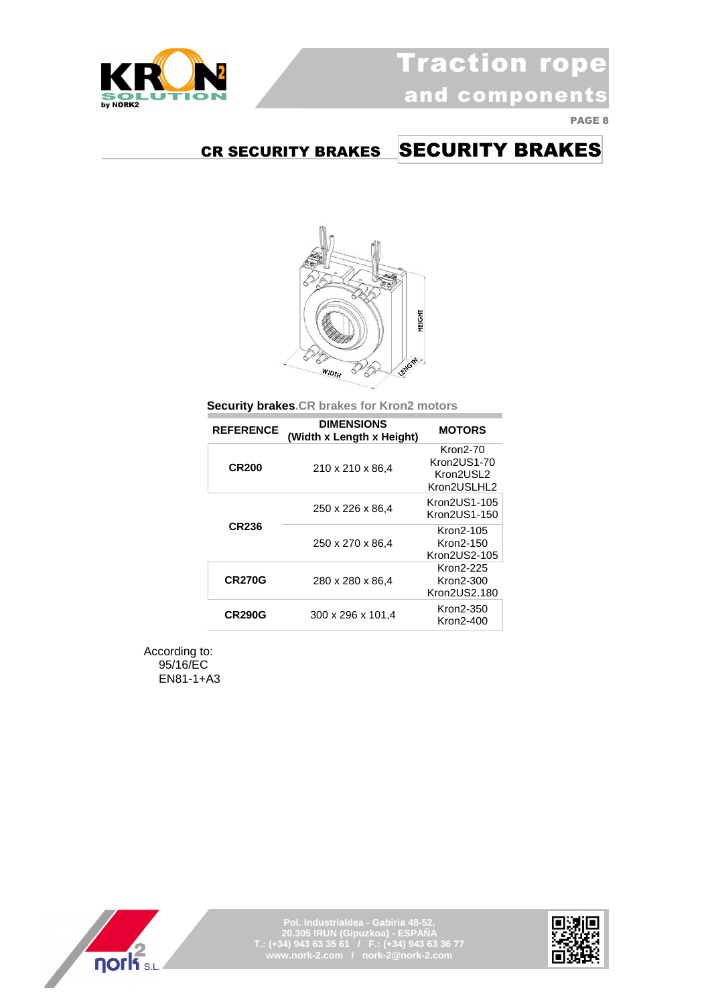



### CR SECURITY BRAKES SECURITY BRAKES



 **Security brakes.CR brakes for Kron2 motors**

| <b>REFERENCE</b> | <b>DIMENSIONS</b><br>(Width x Length x Height) | <b>MOTORS</b>                                       |
|------------------|------------------------------------------------|-----------------------------------------------------|
| <b>CR200</b>     | 210 x 210 x 86,4                               | Kron2-70<br>Kron2US1-70<br>Kron2USL2<br>Kron2USLHL2 |
|                  | 250 x 226 x 86,4                               | Kron2US1-105<br>Kron2US1-150                        |
| <b>CR236</b>     | 250 x 270 x 86.4                               | Kron2-105<br>Kron2-150<br>Kron2US2-105              |
| <b>CR270G</b>    | 280 x 280 x 86,4                               | Kron2-225<br>Kron2-300<br>Kron2US2.180              |
| <b>CR290G</b>    | 300 x 296 x 101,4                              | Kron2-350<br>Kron2-400                              |

According to: 95/16/EC EN81-1+A3